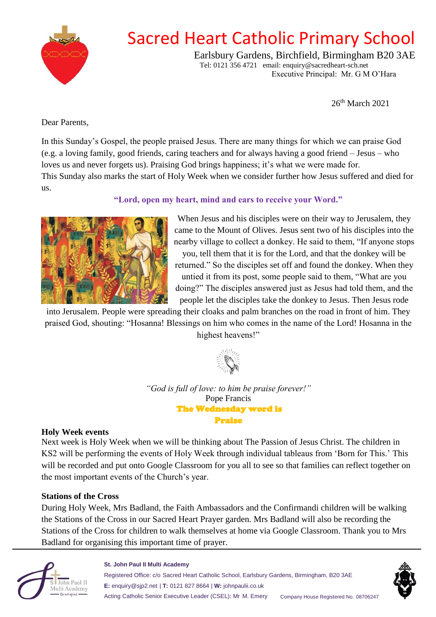

# Sacred Heart Catholic Primary School

Earlsbury Gardens, Birchfield, Birmingham B20 3AE Tel: 0121 356 4721 email: enquiry@sacredheart-sch.net Executive Principal: Mr. G M O'Hara

26th March 2021

Dear Parents,

In this Sunday's Gospel, the people praised Jesus. There are many things for which we can praise God (e.g. a loving family, good friends, caring teachers and for always having a good friend – Jesus – who loves us and never forgets us). Praising God brings happiness; it's what we were made for. This Sunday also marks the start of Holy Week when we consider further how Jesus suffered and died for us.

**"Lord, open my heart, mind and ears to receive your Word."**



When Jesus and his disciples were on their way to Jerusalem, they came to the Mount of Olives. Jesus sent two of his disciples into the nearby village to collect a donkey. He said to them, "If anyone stops you, tell them that it is for the Lord, and that the donkey will be

returned." So the disciples set off and found the donkey. When they untied it from its post, some people said to them, "What are you doing?" The disciples answered just as Jesus had told them, and the people let the disciples take the donkey to Jesus. Then Jesus rode

into Jerusalem. People were spreading their cloaks and palm branches on the road in front of him. They praised God, shouting: "Hosanna! Blessings on him who comes in the name of the Lord! Hosanna in the highest heavens!"



*"God is full of love: to him be praise forever!"* Pope Francis The Wednesday word is Praise

#### **Holy Week events**

Next week is Holy Week when we will be thinking about The Passion of Jesus Christ. The children in KS2 will be performing the events of Holy Week through individual tableaus from 'Born for This.' This will be recorded and put onto Google Classroom for you all to see so that families can reflect together on the most important events of the Church's year.

### **Stations of the Cross**

During Holy Week, Mrs Badland, the Faith Ambassadors and the Confirmandi children will be walking the Stations of the Cross in our Sacred Heart Prayer garden. Mrs Badland will also be recording the Stations of the Cross for children to walk themselves at home via Google Classroom. Thank you to Mrs Badland for organising this important time of prayer.



#### **St. John Paul II Multi Academy**

Registered Office: c/o Sacred Heart Catholic School, Earlsbury Gardens, Birmingham, B20 3AE **E:** enquiry@sjp2.net | **T:** 0121 827 8664 | **W:** johnpaulii.co.uk Acting Catholic Senior Executive Leader (CSEL): Mr M. Emery Company House Registered No. 08706247

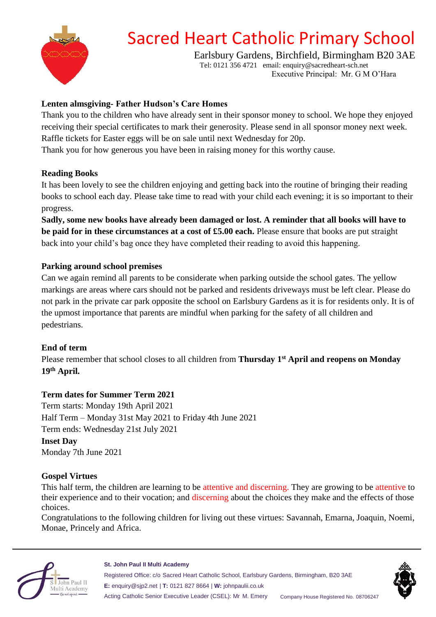

# Sacred Heart Catholic Primary School

Earlsbury Gardens, Birchfield, Birmingham B20 3AE Tel: 0121 356 4721 email: enquiry@sacredheart-sch.net

Executive Principal: Mr. G M O'Hara

## **Lenten almsgiving- Father Hudson's Care Homes**

Thank you to the children who have already sent in their sponsor money to school. We hope they enjoyed receiving their special certificates to mark their generosity. Please send in all sponsor money next week. Raffle tickets for Easter eggs will be on sale until next Wednesday for 20p. Thank you for how generous you have been in raising money for this worthy cause.

### **Reading Books**

It has been lovely to see the children enjoying and getting back into the routine of bringing their reading books to school each day. Please take time to read with your child each evening; it is so important to their progress.

**Sadly, some new books have already been damaged or lost. A reminder that all books will have to be paid for in these circumstances at a cost of £5.00 each.** Please ensure that books are put straight back into your child's bag once they have completed their reading to avoid this happening.

### **Parking around school premises**

Can we again remind all parents to be considerate when parking outside the school gates. The yellow markings are areas where cars should not be parked and residents driveways must be left clear. Please do not park in the private car park opposite the school on Earlsbury Gardens as it is for residents only. It is of the upmost importance that parents are mindful when parking for the safety of all children and pedestrians.

#### **End of term**

Please remember that school closes to all children from **Thursday 1 st April and reopens on Monday 19th April.**

### **Term dates for Summer Term 2021**

Term starts: Monday 19th April 2021 Half Term – Monday 31st May 2021 to Friday 4th June 2021 Term ends: Wednesday 21st July 2021 **Inset Day** Monday 7th June 2021

#### **Gospel Virtues**

This half term, the children are learning to be attentive and discerning. They are growing to be attentive to their experience and to their vocation; and discerning about the choices they make and the effects of those choices.

Congratulations to the following children for living out these virtues: Savannah, Emarna, Joaquin, Noemi, Monae, Princely and Africa.



#### **St. John Paul II Multi Academy**

Registered Office: c/o Sacred Heart Catholic School, Earlsbury Gardens, Birmingham, B20 3AE **E:** enquiry@sjp2.net | **T:** 0121 827 8664 | **W:** johnpaulii.co.uk Acting Catholic Senior Executive Leader (CSEL): Mr M. Emery Company House Registered No. 08706247